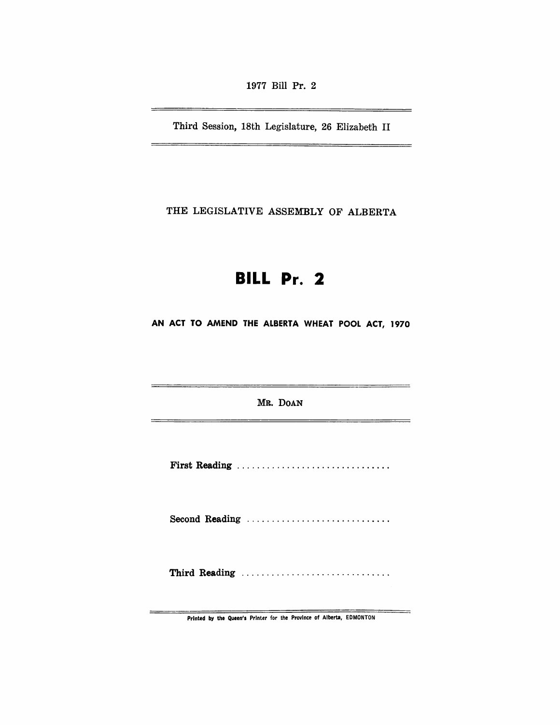1977 Bill Pr. 2

Third Session, 18th Legislature, 26 Elizabeth II

\_\_\_\_\_\_\_\_\_\_\_\_\_\_\_\_\_\_\_\_\_\_\_

 $=$ 

 $\overline{\phantom{0}}$ 

THE LEGISLATIVE ASSEMBLY OF ALBERTA

# **BILL Pr. 2**

AN ACT TO AMEND THE ALBERTA WHEAT POOL ACT, 1970

MR. DOAN

First Reading .............................. .

Second Reading ..............................

Third Reading ..................................

Printed by the Queen's Printer for the Province of Alberta, EDMONTON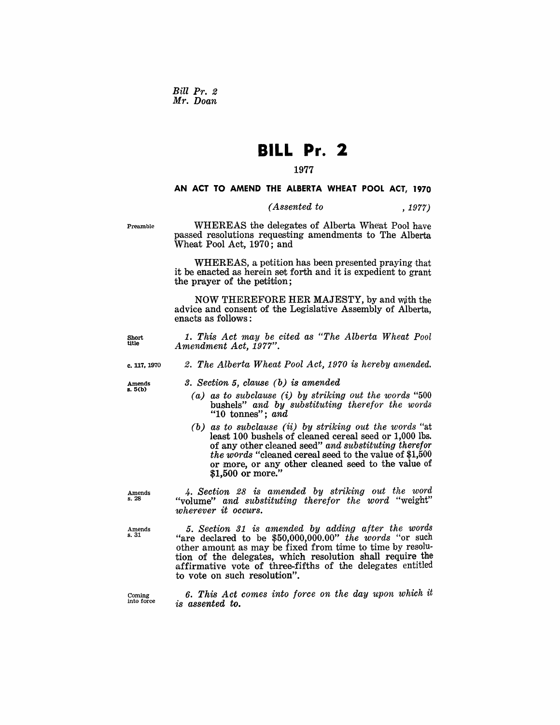*Bill Pr. 2 Mr. Doan* 

## **BILL Pr. 2**

#### 1977

#### AN ACT TO AMEND THE ALBERTA WHEAT POOL ACT, 1970

### *(Assented to* , 1977)

Preamble

WHEREAS the delegates of Alberta Wheat Pool have passed resolutions requesting amendments to. The Alberta Wheat Pool Act, 1970; and

WHEREAS, a petition has been presented praying that it be enacted as herein set forth and it is expedient to grant the prayer of the petition;

NOW THEREFORE HER MAJESTY, by and with the advice and consent of the Legislative Assembly of Alberta, enacts as follows:

1. *This Act may be cited as "The Alberta Wheat Pool Amendment Act, 1977".* 

#### c.117.1970 *2. The Alberta Wheat Pool Act, 1970 is hereby amended.*

Amends s.5(b)

Short title

- *3. Section* 5, *clause (b) is amended* 
	- *(a) as to subclause* (i) *by striking out the words "500*  bushels" *and by substituting therefor the words*  "10 tonnes"; *and*
	- *(b) as to subclause* (ii) *by striking out the words* "at least 100 bushels of cleaned cereal seed or 1,000 lbs. of any other cleaned seed" *and substituting therefor the words* "cleaned cereal seed to the value of \$1,500 or more, or any other cleaned seed to the value of \$1,500 or more."

*4. Section* 28 *is amended by striking out the word*  "volume" *and substituting therefor the word* "weight" *wherever it occurs.* 

*5. Section* 31 *is amended by adding after the words*  "are declared to be \$50,000,000.00" the words "or such other amount as may be fixed from time to time by resolution of the delegates, which resolution shall require the affirmative vote of three-fifths of the delegates entitled to vote on such resolution".

Coming into force

*6. This Act comes into force on the day upon which it is assented to.* 

Amends s.28

Amends s.31